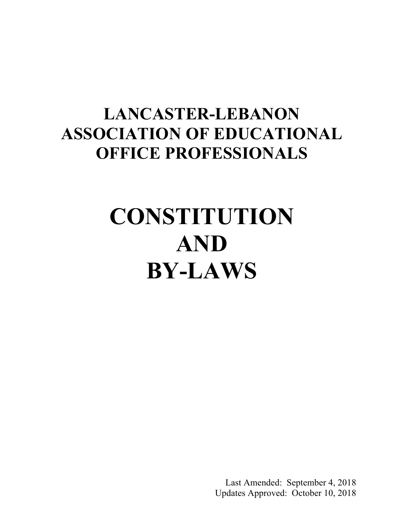# **LANCASTER-LEBANON ASSOCIATION OF EDUCATIONAL OFFICE PROFESSIONALS**

# **CONSTITUTION AND BY-LAWS**

Last Amended: September 4, 2018 Updates Approved: October 10, 2018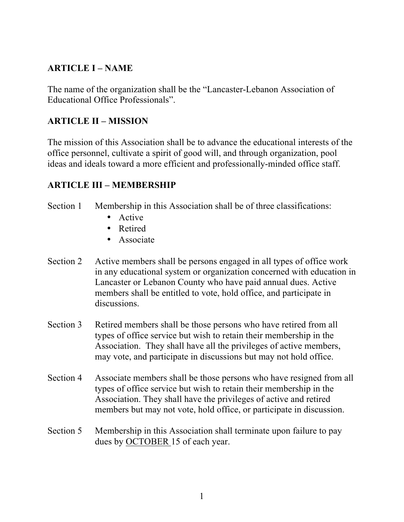## **ARTICLE I – NAME**

The name of the organization shall be the "Lancaster-Lebanon Association of Educational Office Professionals".

### **ARTICLE II – MISSION**

The mission of this Association shall be to advance the educational interests of the office personnel, cultivate a spirit of good will, and through organization, pool ideas and ideals toward a more efficient and professionally-minded office staff.

#### **ARTICLE III – MEMBERSHIP**

Section 1 Membership in this Association shall be of three classifications:

- Active
- Retired
- Associate
- Section 2 Active members shall be persons engaged in all types of office work in any educational system or organization concerned with education in Lancaster or Lebanon County who have paid annual dues. Active members shall be entitled to vote, hold office, and participate in discussions.
- Section 3 Retired members shall be those persons who have retired from all types of office service but wish to retain their membership in the Association. They shall have all the privileges of active members, may vote, and participate in discussions but may not hold office.
- Section 4 Associate members shall be those persons who have resigned from all types of office service but wish to retain their membership in the Association. They shall have the privileges of active and retired members but may not vote, hold office, or participate in discussion.
- Section 5 Membership in this Association shall terminate upon failure to pay dues by OCTOBER 15 of each year.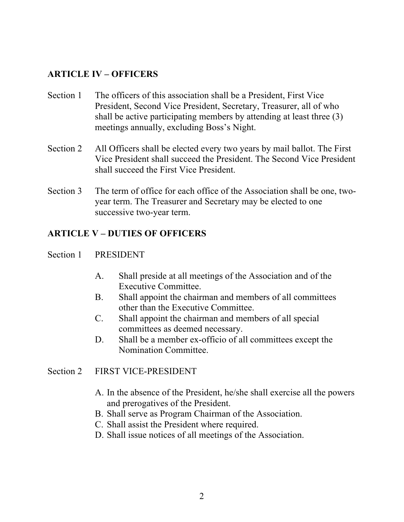#### **ARTICLE IV – OFFICERS**

- Section 1 The officers of this association shall be a President. First Vice President, Second Vice President, Secretary, Treasurer, all of who shall be active participating members by attending at least three (3) meetings annually, excluding Boss's Night.
- Section 2 All Officers shall be elected every two years by mail ballot. The First Vice President shall succeed the President. The Second Vice President shall succeed the First Vice President.
- Section 3 The term of office for each office of the Association shall be one, twoyear term. The Treasurer and Secretary may be elected to one successive two-year term.

#### **ARTICLE V – DUTIES OF OFFICERS**

#### Section 1 PRESIDENT

- A. Shall preside at all meetings of the Association and of the Executive Committee.
- B. Shall appoint the chairman and members of all committees other than the Executive Committee.
- C. Shall appoint the chairman and members of all special committees as deemed necessary.
- D. Shall be a member ex-officio of all committees except the Nomination Committee.

#### Section 2 FIRST VICE-PRESIDENT

- A. In the absence of the President, he/she shall exercise all the powers and prerogatives of the President.
- B. Shall serve as Program Chairman of the Association.
- C. Shall assist the President where required.
- D. Shall issue notices of all meetings of the Association.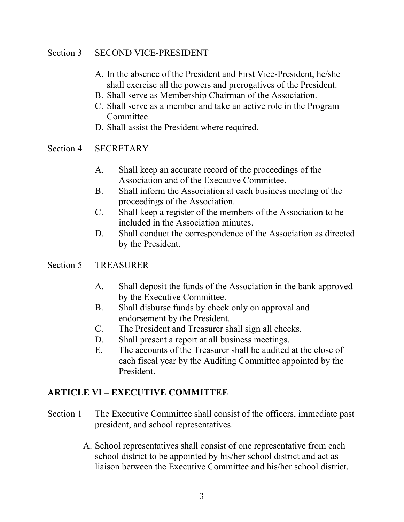#### Section 3 SECOND VICE-PRESIDENT

- A. In the absence of the President and First Vice-President, he/she shall exercise all the powers and prerogatives of the President.
- B. Shall serve as Membership Chairman of the Association.
- C. Shall serve as a member and take an active role in the Program Committee.
- D. Shall assist the President where required.

#### Section 4 SECRETARY

- A. Shall keep an accurate record of the proceedings of the Association and of the Executive Committee.
- B. Shall inform the Association at each business meeting of the proceedings of the Association.
- C. Shall keep a register of the members of the Association to be included in the Association minutes.
- D. Shall conduct the correspondence of the Association as directed by the President.

#### Section 5 TREASURER

- A. Shall deposit the funds of the Association in the bank approved by the Executive Committee.
- B. Shall disburse funds by check only on approval and endorsement by the President.
- C. The President and Treasurer shall sign all checks.
- D. Shall present a report at all business meetings.
- E. The accounts of the Treasurer shall be audited at the close of each fiscal year by the Auditing Committee appointed by the President.

#### **ARTICLE VI – EXECUTIVE COMMITTEE**

- Section 1 The Executive Committee shall consist of the officers, immediate past president, and school representatives.
	- A. School representatives shall consist of one representative from each school district to be appointed by his/her school district and act as liaison between the Executive Committee and his/her school district.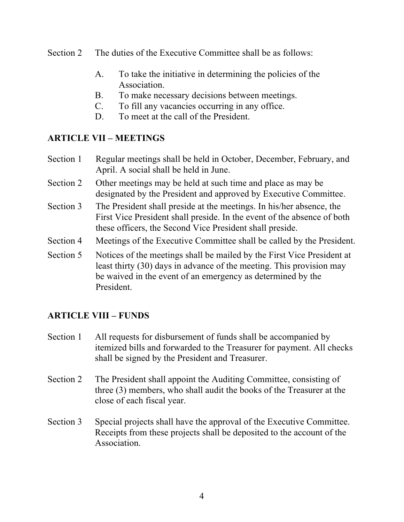- Section 2 The duties of the Executive Committee shall be as follows:
	- A. To take the initiative in determining the policies of the Association.
	- B. To make necessary decisions between meetings.
	- C. To fill any vacancies occurring in any office.
	- D. To meet at the call of the President.

# **ARTICLE VII – MEETINGS**

- Section 1 Regular meetings shall be held in October, December, February, and April. A social shall be held in June.
- Section 2 Other meetings may be held at such time and place as may be designated by the President and approved by Executive Committee.
- Section 3 The President shall preside at the meetings. In his/her absence, the First Vice President shall preside. In the event of the absence of both these officers, the Second Vice President shall preside.
- Section 4 Meetings of the Executive Committee shall be called by the President.
- Section 5 Notices of the meetings shall be mailed by the First Vice President at least thirty (30) days in advance of the meeting. This provision may be waived in the event of an emergency as determined by the President.

# **ARTICLE VIII – FUNDS**

- Section 1 All requests for disbursement of funds shall be accompanied by itemized bills and forwarded to the Treasurer for payment. All checks shall be signed by the President and Treasurer.
- Section 2 The President shall appoint the Auditing Committee, consisting of three (3) members, who shall audit the books of the Treasurer at the close of each fiscal year.
- Section 3 Special projects shall have the approval of the Executive Committee. Receipts from these projects shall be deposited to the account of the Association.